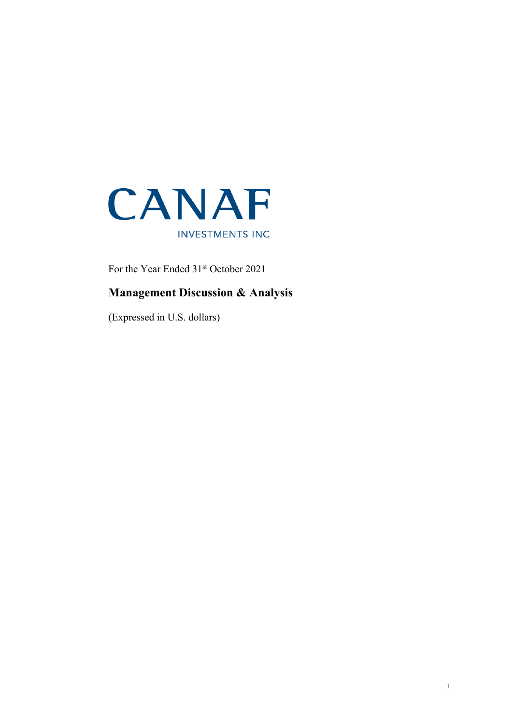

For the Year Ended 31<sup>st</sup> October 2021

# **Management Discussion & Analysis**

(Expressed in U.S. dollars)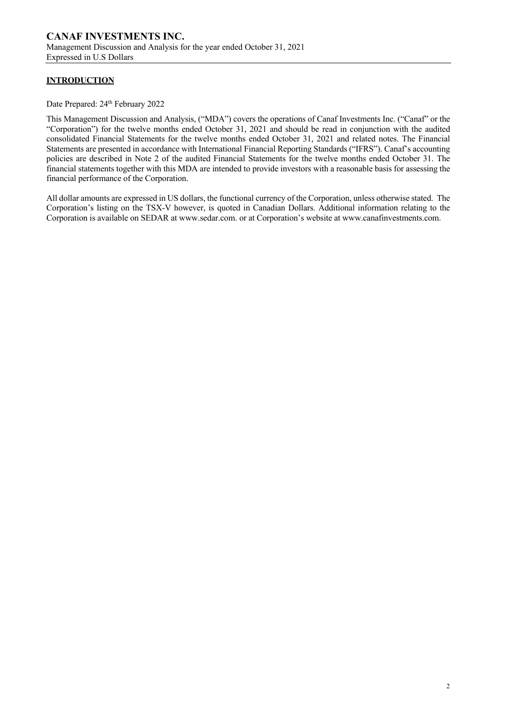# **INTRODUCTION**

Date Prepared: 24<sup>th</sup> February 2022

This Management Discussion and Analysis, ("MDA") covers the operations of Canaf Investments Inc. ("Canaf" or the "Corporation") for the twelve months ended October 31, 2021 and should be read in conjunction with the audited consolidated Financial Statements for the twelve months ended October 31, 2021 and related notes. The Financial Statements are presented in accordance with International Financial Reporting Standards ("IFRS"). Canaf's accounting policies are described in Note 2 of the audited Financial Statements for the twelve months ended October 31. The financial statements together with this MDA are intended to provide investors with a reasonable basis for assessing the financial performance of the Corporation.

All dollar amounts are expressed in US dollars, the functional currency of the Corporation, unless otherwise stated. The Corporation's listing on the TSX-V however, is quoted in Canadian Dollars. Additional information relating to the Corporation is available on SEDAR at www.sedar.com. or at Corporation's website at www.canafinvestments.com.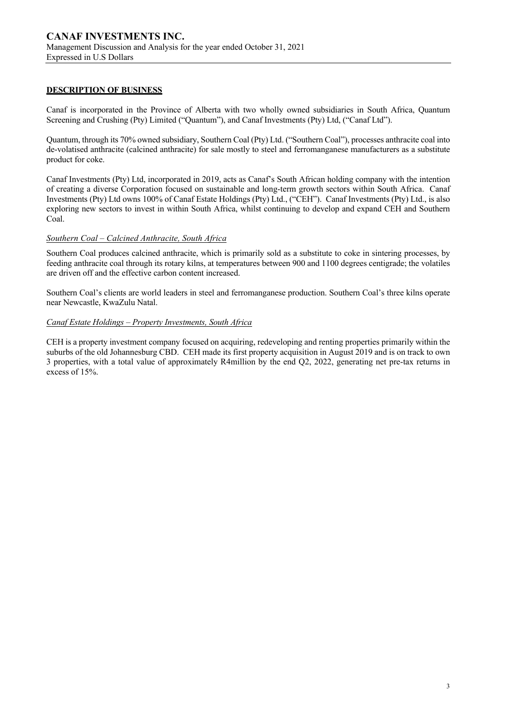#### **DESCRIPTION OF BUSINESS**

Canaf is incorporated in the Province of Alberta with two wholly owned subsidiaries in South Africa, Quantum Screening and Crushing (Pty) Limited ("Quantum"), and Canaf Investments (Pty) Ltd, ("Canaf Ltd").

Quantum, through its 70% owned subsidiary, Southern Coal (Pty) Ltd. ("Southern Coal"), processes anthracite coal into de-volatised anthracite (calcined anthracite) for sale mostly to steel and ferromanganese manufacturers as a substitute product for coke.

Canaf Investments (Pty) Ltd, incorporated in 2019, acts as Canaf's South African holding company with the intention of creating a diverse Corporation focused on sustainable and long-term growth sectors within South Africa. Canaf Investments (Pty) Ltd owns 100% of Canaf Estate Holdings (Pty) Ltd., ("CEH"). Canaf Investments (Pty) Ltd., is also exploring new sectors to invest in within South Africa, whilst continuing to develop and expand CEH and Southern Coal.

#### *Southern Coal – Calcined Anthracite, South Africa*

Southern Coal produces calcined anthracite, which is primarily sold as a substitute to coke in sintering processes, by feeding anthracite coal through its rotary kilns, at temperatures between 900 and 1100 degrees centigrade; the volatiles are driven off and the effective carbon content increased.

Southern Coal's clients are world leaders in steel and ferromanganese production. Southern Coal's three kilns operate near Newcastle, KwaZulu Natal.

#### *Canaf Estate Holdings – Property Investments, South Africa*

CEH is a property investment company focused on acquiring, redeveloping and renting properties primarily within the suburbs of the old Johannesburg CBD. CEH made its first property acquisition in August 2019 and is on track to own 3 properties, with a total value of approximately R4million by the end Q2, 2022, generating net pre-tax returns in excess of 15%.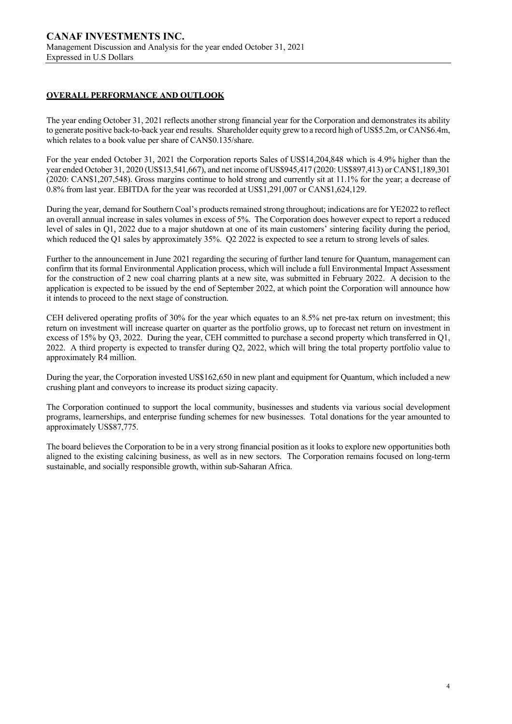# **OVERALL PERFORMANCE AND OUTLOOK**

The year ending October 31, 2021 reflects another strong financial year for the Corporation and demonstrates its ability to generate positive back-to-back year end results. Shareholder equity grew to a record high of US\$5.2m, or CAN\$6.4m, which relates to a book value per share of CAN\$0.135/share.

For the year ended October 31, 2021 the Corporation reports Sales of US\$14,204,848 which is 4.9% higher than the year ended October 31, 2020 (US\$13,541,667), and net income of US\$945,417 (2020: US\$897,413) or CAN\$1,189,301 (2020: CAN\$1,207,548). Gross margins continue to hold strong and currently sit at 11.1% for the year; a decrease of 0.8% from last year. EBITDA for the year was recorded at US\$1,291,007 or CAN\$1,624,129.

During the year, demand for Southern Coal's products remained strong throughout; indications are for YE2022 to reflect an overall annual increase in sales volumes in excess of 5%. The Corporation does however expect to report a reduced level of sales in Q1, 2022 due to a major shutdown at one of its main customers' sintering facility during the period, which reduced the Q1 sales by approximately 35%. Q2 2022 is expected to see a return to strong levels of sales.

Further to the announcement in June 2021 regarding the securing of further land tenure for Quantum, management can confirm that its formal Environmental Application process, which will include a full Environmental Impact Assessment for the construction of 2 new coal charring plants at a new site, was submitted in February 2022. A decision to the application is expected to be issued by the end of September 2022, at which point the Corporation will announce how it intends to proceed to the next stage of construction.

CEH delivered operating profits of 30% for the year which equates to an 8.5% net pre-tax return on investment; this return on investment will increase quarter on quarter as the portfolio grows, up to forecast net return on investment in excess of 15% by Q3, 2022. During the year, CEH committed to purchase a second property which transferred in Q1, 2022. A third property is expected to transfer during Q2, 2022, which will bring the total property portfolio value to approximately R4 million.

During the year, the Corporation invested US\$162,650 in new plant and equipment for Quantum, which included a new crushing plant and conveyors to increase its product sizing capacity.

The Corporation continued to support the local community, businesses and students via various social development programs, learnerships, and enterprise funding schemes for new businesses. Total donations for the year amounted to approximately US\$87,775.

The board believes the Corporation to be in a very strong financial position as it looks to explore new opportunities both aligned to the existing calcining business, as well as in new sectors. The Corporation remains focused on long-term sustainable, and socially responsible growth, within sub-Saharan Africa.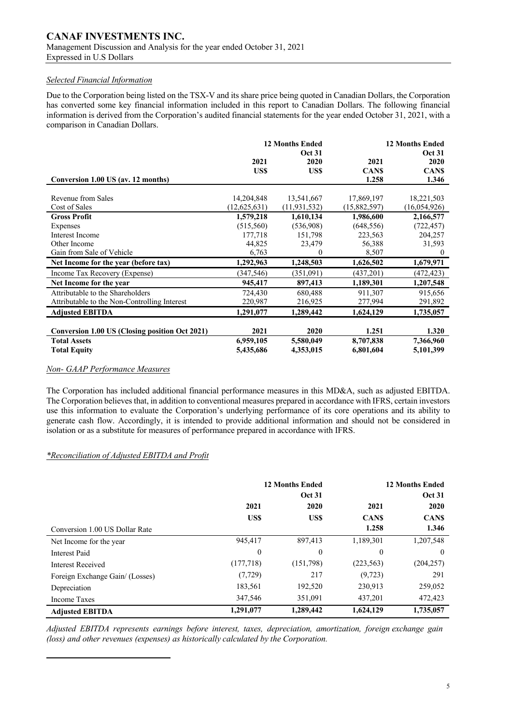#### **CANAF INVESTMENTS INC.** Management Discussion and Analysis for the year ended October 31, 2021 Expressed in U.S Dollars

#### *Selected Financial Information*

Due to the Corporation being listed on the TSX-V and its share price being quoted in Canadian Dollars, the Corporation has converted some key financial information included in this report to Canadian Dollars. The following financial information is derived from the Corporation's audited financial statements for the year ended October 31, 2021, with a comparison in Canadian Dollars.

|                                                       |                | <b>12 Months Ended</b><br><b>Oct 31</b> | <b>12 Months Ended</b><br><b>Oct 31</b> |              |  |
|-------------------------------------------------------|----------------|-----------------------------------------|-----------------------------------------|--------------|--|
|                                                       | 2021           | 2020                                    | 2021                                    | 2020         |  |
|                                                       | US\$           | US\$                                    | <b>CANS</b>                             | <b>CANS</b>  |  |
| Conversion 1.00 US (av. 12 months)                    |                |                                         | 1.258                                   | 1.346        |  |
| Revenue from Sales                                    | 14,204,848     | 13,541,667                              | 17,869,197                              | 18,221,503   |  |
| Cost of Sales                                         | (12, 625, 631) | (11, 931, 532)                          | (15,882,597)                            | (16,054,926) |  |
| <b>Gross Profit</b>                                   | 1,579,218      | 1,610,134                               | 1,986,600                               | 2,166,577    |  |
| Expenses                                              | (515,560)      | (536,908)                               | (648, 556)                              | (722, 457)   |  |
| Interest Income                                       | 177,718        | 151,798                                 | 223,563                                 | 204,257      |  |
| Other Income                                          | 44,825         | 23,479                                  | 56,388                                  | 31,593       |  |
| Gain from Sale of Vehicle                             | 6,763          | $\theta$                                | 8,507                                   | $\theta$     |  |
| Net Income for the year (before tax)                  | 1,292,963      | 1,248,503                               | 1,626,502                               | 1,679,971    |  |
| Income Tax Recovery (Expense)                         | (347, 546)     | (351,091)                               | (437,201)                               | (472, 423)   |  |
| Net Income for the year                               | 945,417        | 897,413                                 | 1,189,301                               | 1,207,548    |  |
| Attributable to the Shareholders                      | 724,430        | 680,488                                 | 911,307                                 | 915,656      |  |
| Attributable to the Non-Controlling Interest          | 220,987        | 216,925                                 | 277,994                                 | 291,892      |  |
| <b>Adjusted EBITDA</b>                                | 1,291,077      | 1,289,442                               | 1,624,129                               | 1,735,057    |  |
|                                                       |                |                                         |                                         |              |  |
| <b>Conversion 1.00 US (Closing position Oct 2021)</b> | 2021           | 2020                                    | 1.251                                   | 1.320        |  |
| <b>Total Assets</b>                                   | 6,959,105      | 5,580,049                               | 8,707,838                               | 7,366,960    |  |
| <b>Total Equity</b>                                   | 5,435,686      | 4,353,015                               | 6,801,604                               | 5,101,399    |  |

#### *Non- GAAP Performance Measures*

The Corporation has included additional financial performance measures in this MD&A, such as adjusted EBITDA. The Corporation believes that, in addition to conventional measures prepared in accordance with IFRS, certain investors use this information to evaluate the Corporation's underlying performance of its core operations and its ability to generate cash flow. Accordingly, it is intended to provide additional information and should not be considered in isolation or as a substitute for measures of performance prepared in accordance with IFRS.

### *\*Reconciliation of Adjusted EBITDA and Profit*

|                                 | <b>12 Months Ended</b><br><b>Oct 31</b> |           | <b>12 Months Ended</b><br><b>Oct 31</b> |             |  |
|---------------------------------|-----------------------------------------|-----------|-----------------------------------------|-------------|--|
|                                 | 2021                                    | 2020      | 2021                                    | 2020        |  |
|                                 | US\$                                    | US\$      | <b>CANS</b>                             | <b>CANS</b> |  |
| Conversion 1.00 US Dollar Rate  |                                         |           | 1.258                                   | 1.346       |  |
| Net Income for the year         | 945,417                                 | 897,413   | 1,189,301                               | 1,207,548   |  |
| Interest Paid                   | $\overline{0}$                          | $\theta$  | $\theta$                                | $\theta$    |  |
| Interest Received               | (177, 718)                              | (151,798) | (223, 563)                              | (204, 257)  |  |
| Foreign Exchange Gain/ (Losses) | (7, 729)                                | 217       | (9,723)                                 | 291         |  |
| Depreciation                    | 183,561                                 | 192,520   | 230,913                                 | 259,052     |  |
| Income Taxes                    | 347,546                                 | 351,091   | 437,201                                 | 472,423     |  |
| <b>Adjusted EBITDA</b>          | 1,291,077                               | 1,289,442 | 1,624,129                               | 1,735,057   |  |

*Adjusted EBITDA represents earnings before interest, taxes, depreciation, amortization, foreign exchange gain (loss) and other revenues (expenses) as historically calculated by the Corporation.*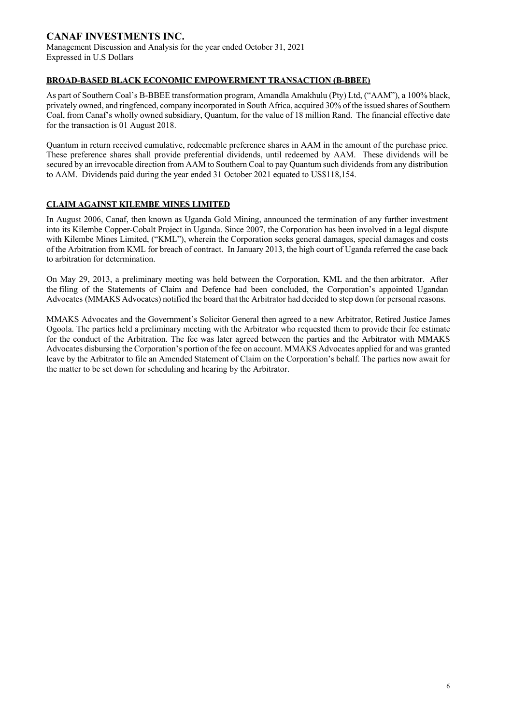#### **BROAD-BASED BLACK ECONOMIC EMPOWERMENT TRANSACTION (B-BBEE)**

As part of Southern Coal's B-BBEE transformation program, Amandla Amakhulu (Pty) Ltd, ("AAM"), a 100% black, privately owned, and ringfenced, company incorporated in South Africa, acquired 30% of the issued shares of Southern Coal, from Canaf's wholly owned subsidiary, Quantum, for the value of 18 million Rand. The financial effective date for the transaction is 01 August 2018.

Quantum in return received cumulative, redeemable preference shares in AAM in the amount of the purchase price. These preference shares shall provide preferential dividends, until redeemed by AAM. These dividends will be secured by an irrevocable direction from AAM to Southern Coal to pay Quantum such dividends from any distribution to AAM. Dividends paid during the year ended 31 October 2021 equated to US\$118,154.

#### **CLAIM AGAINST KILEMBE MINES LIMITED**

In August 2006, Canaf, then known as Uganda Gold Mining, announced the termination of any further investment into its Kilembe Copper-Cobalt Project in Uganda. Since 2007, the Corporation has been involved in a legal dispute with Kilembe Mines Limited, ("KML"), wherein the Corporation seeks general damages, special damages and costs of the Arbitration from KML for breach of contract. In January 2013, the high court of Uganda referred the case back to arbitration for determination.

On May 29, 2013, a preliminary meeting was held between the Corporation, KML and the then arbitrator. After the filing of the Statements of Claim and Defence had been concluded, the Corporation's appointed Ugandan Advocates (MMAKS Advocates) notified the board that the Arbitrator had decided to step down for personal reasons.

MMAKS Advocates and the Government's Solicitor General then agreed to a new Arbitrator, Retired Justice James Ogoola. The parties held a preliminary meeting with the Arbitrator who requested them to provide their fee estimate for the conduct of the Arbitration. The fee was later agreed between the parties and the Arbitrator with MMAKS Advocates disbursing the Corporation's portion of the fee on account. MMAKS Advocates applied for and was granted leave by the Arbitrator to file an Amended Statement of Claim on the Corporation's behalf. The parties now await for the matter to be set down for scheduling and hearing by the Arbitrator.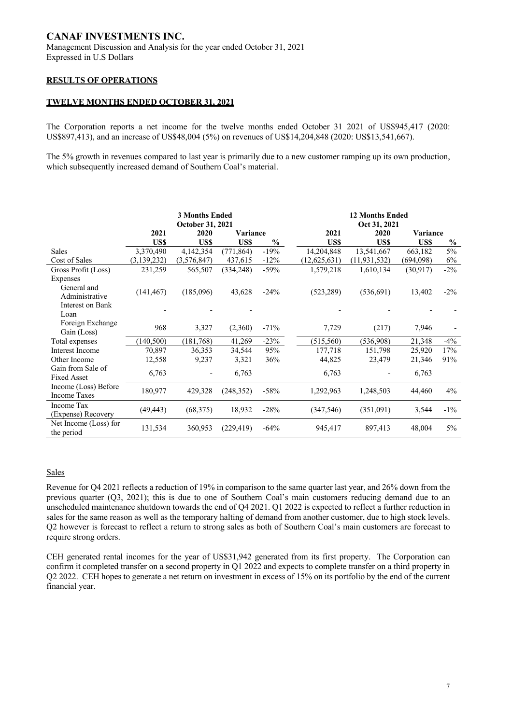# **RESULTS OF OPERATIONS**

#### **TWELVE MONTHS ENDED OCTOBER 31, 2021**

The Corporation reports a net income for the twelve months ended October 31 2021 of US\$945,417 (2020: US\$897,413), and an increase of US\$48,004 (5%) on revenues of US\$14,204,848 (2020: US\$13,541,667).

The 5% growth in revenues compared to last year is primarily due to a new customer ramping up its own production, which subsequently increased demand of Southern Coal's material.

|                        | <b>3 Months Ended</b><br>October 31, 2021 |             |            |               | <b>12 Months Ended</b><br>Oct 31, 2021 |                |                 |        |
|------------------------|-------------------------------------------|-------------|------------|---------------|----------------------------------------|----------------|-----------------|--------|
|                        | 2021                                      | 2020        | Variance   |               | 2021                                   | 2020           | <b>Variance</b> |        |
|                        | US\$                                      | US\$        | US\$       | $\frac{0}{0}$ | US\$                                   | US\$           | US\$            | $\%$   |
| <b>Sales</b>           | 3,370,490                                 | 4,142,354   | (771, 864) | $-19%$        | 14,204,848                             | 13,541,667     | 663,182         | 5%     |
| Cost of Sales          | (3,139,232)                               | (3,576,847) | 437,615    | $-12%$        | (12, 625, 631)                         | (11, 931, 532) | (694,098)       | 6%     |
| Gross Profit (Loss)    | 231,259                                   | 565,507     | (334, 248) | $-59%$        | 1,579,218                              | 1,610,134      | (30, 917)       | $-2\%$ |
| Expenses               |                                           |             |            |               |                                        |                |                 |        |
| General and            | (141, 467)                                | (185,096)   | 43,628     | $-24%$        | (523, 289)                             | (536,691)      | 13,402          | $-2\%$ |
| Administrative         |                                           |             |            |               |                                        |                |                 |        |
| Interest on Bank       |                                           |             |            |               |                                        |                |                 |        |
| Loan                   |                                           |             |            |               |                                        |                |                 |        |
| Foreign Exchange       | 968                                       | 3,327       | (2,360)    | $-71%$        | 7,729                                  | (217)          | 7,946           |        |
| Gain (Loss)            |                                           |             |            |               |                                        |                |                 |        |
| Total expenses         | (140, 500)                                | (181,768)   | 41,269     | $-23%$        | (515, 560)                             | (536,908)      | 21,348          | $-4\%$ |
| <b>Interest Income</b> | 70,897                                    | 36,353      | 34,544     | 95%           | 177,718                                | 151,798        | 25,920          | 17%    |
| Other Income           | 12,558                                    | 9,237       | 3,321      | 36%           | 44,825                                 | 23,479         | 21,346          | 91%    |
| Gain from Sale of      | 6,763                                     |             | 6,763      |               | 6,763                                  |                | 6,763           |        |
| <b>Fixed Asset</b>     |                                           |             |            |               |                                        |                |                 |        |
| Income (Loss) Before   | 180,977                                   | 429,328     | (248, 352) | $-58%$        | 1,292,963                              | 1,248,503      | 44,460          | 4%     |
| <b>Income Taxes</b>    |                                           |             |            |               |                                        |                |                 |        |
| Income Tax             | (49, 443)                                 | (68, 375)   | 18,932     | $-28%$        | (347, 546)                             | (351,091)      | 3,544           | $-1\%$ |
| (Expense) Recovery     |                                           |             |            |               |                                        |                |                 |        |
| Net Income (Loss) for  | 131,534                                   | 360,953     | (229, 419) | $-64%$        | 945,417                                | 897,413        | 48,004          | $5\%$  |
| the period             |                                           |             |            |               |                                        |                |                 |        |

#### Sales

Revenue for Q4 2021 reflects a reduction of 19% in comparison to the same quarter last year, and 26% down from the previous quarter (Q3, 2021); this is due to one of Southern Coal's main customers reducing demand due to an unscheduled maintenance shutdown towards the end of Q4 2021. Q1 2022 is expected to reflect a further reduction in sales for the same reason as well as the temporary halting of demand from another customer, due to high stock levels. Q2 however is forecast to reflect a return to strong sales as both of Southern Coal's main customers are forecast to require strong orders.

CEH generated rental incomes for the year of US\$31,942 generated from its first property. The Corporation can confirm it completed transfer on a second property in Q1 2022 and expects to complete transfer on a third property in Q2 2022. CEH hopes to generate a net return on investment in excess of 15% on its portfolio by the end of the current financial year.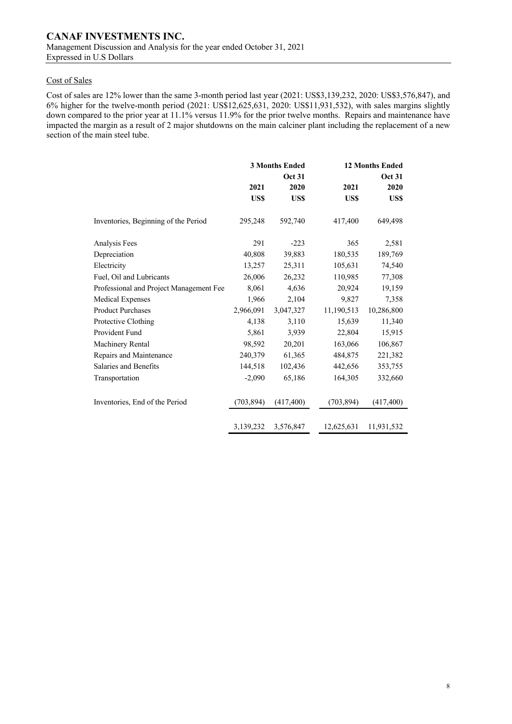#### Cost of Sales

Cost of sales are 12% lower than the same 3-month period last year (2021: US\$3,139,232, 2020: US\$3,576,847), and 6% higher for the twelve-month period (2021: US\$12,625,631, 2020: US\$11,931,532), with sales margins slightly down compared to the prior year at 11.1% versus 11.9% for the prior twelve months. Repairs and maintenance have impacted the margin as a result of 2 major shutdowns on the main calciner plant including the replacement of a new section of the main steel tube.

|                                         |            | <b>3 Months Ended</b> |            | <b>12 Months Ended</b> |  |  |
|-----------------------------------------|------------|-----------------------|------------|------------------------|--|--|
|                                         |            | <b>Oct 31</b>         |            | <b>Oct 31</b>          |  |  |
|                                         | 2021       | 2020                  | 2021       | 2020                   |  |  |
|                                         | US\$       | US\$                  | <b>USS</b> | US\$                   |  |  |
| Inventories, Beginning of the Period    | 295,248    | 592,740               | 417,400    | 649,498                |  |  |
| Analysis Fees                           | 291        | $-223$                | 365        | 2,581                  |  |  |
| Depreciation                            | 40,808     | 39,883                | 180,535    | 189,769                |  |  |
| Electricity                             | 13,257     | 25,311                | 105,631    | 74,540                 |  |  |
| Fuel, Oil and Lubricants                | 26,006     | 26,232                | 110,985    | 77,308                 |  |  |
| Professional and Project Management Fee | 8,061      | 4,636                 | 20,924     | 19,159                 |  |  |
| <b>Medical Expenses</b>                 | 1,966      | 2,104                 | 9,827      | 7,358                  |  |  |
| <b>Product Purchases</b>                | 2,966,091  | 3,047,327             | 11,190,513 | 10,286,800             |  |  |
| Protective Clothing                     | 4,138      | 3,110                 | 15,639     | 11,340                 |  |  |
| Provident Fund                          | 5,861      | 3,939                 | 22,804     | 15,915                 |  |  |
| Machinery Rental                        | 98,592     | 20,201                | 163,066    | 106,867                |  |  |
| Repairs and Maintenance                 | 240,379    | 61,365                | 484,875    | 221,382                |  |  |
| Salaries and Benefits                   | 144,518    | 102,436               | 442,656    | 353,755                |  |  |
| Transportation                          | $-2,090$   | 65,186                | 164,305    | 332,660                |  |  |
| Inventories, End of the Period          | (703, 894) | (417, 400)            | (703, 894) | (417, 400)             |  |  |
|                                         | 3,139,232  | 3,576,847             | 12,625,631 | 11,931,532             |  |  |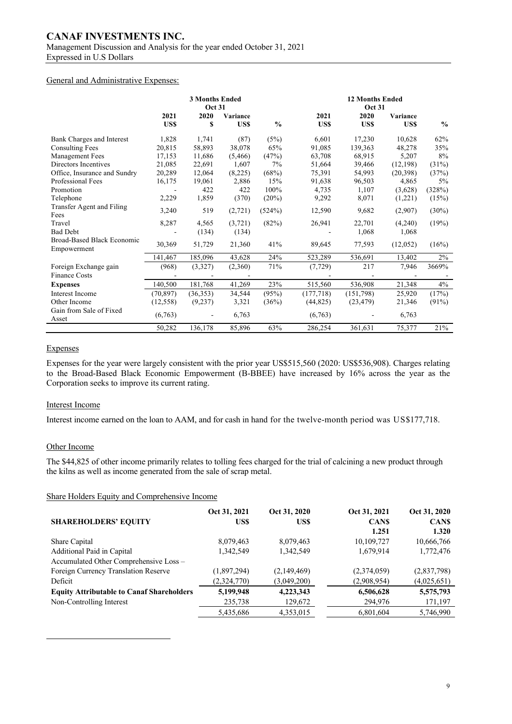# **CANAF INVESTMENTS INC.**

Management Discussion and Analysis for the year ended October 31, 2021 Expressed in U.S Dollars

#### General and Administrative Expenses:

|                                               | <b>3 Months Ended</b><br><b>Oct 31</b> |          |            |               | <b>12 Months Ended</b><br><b>Oct 31</b> |           |           |               |
|-----------------------------------------------|----------------------------------------|----------|------------|---------------|-----------------------------------------|-----------|-----------|---------------|
|                                               | 2021                                   | 2020     | Variance   |               | 2021                                    | 2020      | Variance  |               |
|                                               | US\$                                   | \$       | <b>USS</b> | $\frac{0}{0}$ | US\$                                    | US\$      | US\$      | $\frac{0}{0}$ |
| Bank Charges and Interest                     | 1,828                                  | 1,741    | (87)       | (5%)          | 6,601                                   | 17,230    | 10,628    | 62%           |
| <b>Consulting Fees</b>                        | 20,815                                 | 58,893   | 38,078     | 65%           | 91,085                                  | 139,363   | 48,278    | 35%           |
| Management Fees                               | 17,153                                 | 11,686   | (5,466)    | (47%)         | 63,708                                  | 68.915    | 5,207     | 8%            |
| Directors Incentives                          | 21,085                                 | 22,691   | 1.607      | 7%            | 51,664                                  | 39,466    | (12, 198) | (31%)         |
| Office, Insurance and Sundry                  | 20,289                                 | 12,064   | (8,225)    | (68%)         | 75,391                                  | 54,993    | (20, 398) | (37%)         |
| Professional Fees                             | 16,175                                 | 19,061   | 2,886      | 15%           | 91,638                                  | 96,503    | 4,865     | 5%            |
| Promotion                                     |                                        | 422      | 422        | 100%          | 4,735                                   | 1,107     | (3,628)   | (328%)        |
| Telephone                                     | 2,229                                  | 1,859    | (370)      | (20%)         | 9,292                                   | 8,071     | (1,221)   | (15%)         |
| Transfer Agent and Filing<br>Fees             | 3,240                                  | 519      | (2,721)    | (524%)        | 12,590                                  | 9,682     | (2,907)   | $(30\%)$      |
| Travel                                        | 8,287                                  | 4,565    | (3,721)    | (82%)         | 26,941                                  | 22,701    | (4,240)   | (19%)         |
| <b>Bad Debt</b>                               |                                        | (134)    | (134)      |               |                                         | 1,068     | 1,068     |               |
| Broad-Based Black Economic<br>Empowerment     | 30,369                                 | 51,729   | 21,360     | 41%           | 89,645                                  | 77,593    | (12,052)  | (16%)         |
|                                               | 141,467                                | 185,096  | 43,628     | 24%           | 523,289                                 | 536,691   | 13,402    | $2\%$         |
| Foreign Exchange gain<br><b>Finance Costs</b> | (968)                                  | (3,327)  | (2,360)    | 71%           | (7, 729)                                | 217       | 7,946     | 3669%         |
|                                               | 140,500                                | 181,768  | 41,269     | 23%           | 515,560                                 | 536,908   | 21,348    | 4%            |
| <b>Expenses</b>                               |                                        |          |            |               |                                         |           |           |               |
| <b>Interest Income</b>                        | (70, 897)                              | (36,353) | 34,544     | (95%)         | (177, 718)                              | (151,798) | 25,920    | (17%)         |
| Other Income                                  | (12, 558)                              | (9,237)  | 3,321      | (36%)         | (44, 825)                               | (23, 479) | 21,346    | (91%)         |
| Gain from Sale of Fixed<br>Asset              | (6,763)                                |          | 6,763      |               | (6,763)                                 |           | 6,763     |               |
|                                               | 50,282                                 | 136,178  | 85,896     | 63%           | 286,254                                 | 361,631   | 75,377    | 21%           |

#### Expenses

Expenses for the year were largely consistent with the prior year US\$515,560 (2020: US\$536,908). Charges relating to the Broad-Based Black Economic Empowerment (B-BBEE) have increased by 16% across the year as the Corporation seeks to improve its current rating.

#### Interest Income

Interest income earned on the loan to AAM, and for cash in hand for the twelve-month period was US\$177,718.

#### Other Income

The \$44,825 of other income primarily relates to tolling fees charged for the trial of calcining a new product through the kilns as well as income generated from the sale of scrap metal.

Share Holders Equity and Comprehensive Income

|                                                  | Oct 31, 2021 | Oct 31, 2020 | Oct 31, 2021 | Oct 31, 2020 |
|--------------------------------------------------|--------------|--------------|--------------|--------------|
| <b>SHAREHOLDERS' EQUITY</b>                      | US\$         | US\$         | <b>CANS</b>  | <b>CANS</b>  |
|                                                  |              |              | 1.251        | 1.320        |
| Share Capital                                    | 8,079,463    | 8,079,463    | 10,109,727   | 10,666,766   |
| Additional Paid in Capital                       | 1,342,549    | 1,342,549    | 1,679,914    | 1,772,476    |
| Accumulated Other Comprehensive Loss -           |              |              |              |              |
| Foreign Currency Translation Reserve             | (1,897,294)  | (2,149,469)  | (2,374,059)  | (2,837,798)  |
| Deficit                                          | (2,324,770)  | (3,049,200)  | (2,908,954)  | (4,025,651)  |
| <b>Equity Attributable to Canaf Shareholders</b> | 5,199,948    | 4,223,343    | 6,506,628    | 5,575,793    |
| Non-Controlling Interest                         | 235,738      | 129,672      | 294,976      | 171,197      |
|                                                  | 5,435,686    | 4,353,015    | 6,801,604    | 5,746,990    |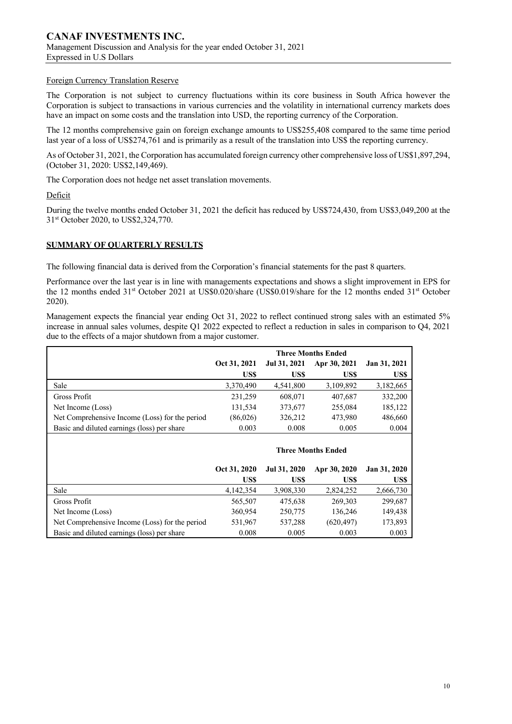#### Foreign Currency Translation Reserve

The Corporation is not subject to currency fluctuations within its core business in South Africa however the Corporation is subject to transactions in various currencies and the volatility in international currency markets does have an impact on some costs and the translation into USD, the reporting currency of the Corporation.

The 12 months comprehensive gain on foreign exchange amounts to US\$255,408 compared to the same time period last year of a loss of US\$274,761 and is primarily as a result of the translation into US\$ the reporting currency.

As of October 31, 2021, the Corporation has accumulated foreign currency other comprehensive loss of US\$1,897,294, (October 31, 2020: US\$2,149,469).

The Corporation does not hedge net asset translation movements.

Deficit

During the twelve months ended October 31, 2021 the deficit has reduced by US\$724,430, from US\$3,049,200 at the 31st October 2020, to US\$2,324,770.

#### **SUMMARY OF QUARTERLY RESULTS**

The following financial data is derived from the Corporation's financial statements for the past 8 quarters.

Performance over the last year is in line with managements expectations and shows a slight improvement in EPS for the 12 months ended 31<sup>st</sup> October 2021 at US\$0.020/share (US\$0.019/share for the 12 months ended 31<sup>st</sup> October 2020).

Management expects the financial year ending Oct 31, 2022 to reflect continued strong sales with an estimated 5% increase in annual sales volumes, despite Q1 2022 expected to reflect a reduction in sales in comparison to Q4, 2021 due to the effects of a major shutdown from a major customer.

|                                                | <b>Three Months Ended</b> |              |              |              |  |  |
|------------------------------------------------|---------------------------|--------------|--------------|--------------|--|--|
|                                                | Oct 31, 2021              | Jul 31, 2021 | Apr 30, 2021 | Jan 31, 2021 |  |  |
|                                                | US\$                      | US\$         | US\$         | US\$         |  |  |
| Sale                                           | 3,370,490                 | 4,541,800    | 3,109,892    | 3,182,665    |  |  |
| Gross Profit                                   | 231,259                   | 608,071      | 407.687      | 332,200      |  |  |
| Net Income (Loss)                              | 131,534                   | 373,677      | 255,084      | 185,122      |  |  |
| Net Comprehensive Income (Loss) for the period | (86,026)                  | 326,212      | 473,980      | 486,660      |  |  |
| Basic and diluted earnings (loss) per share    | 0.003                     | 0.008        | 0.005        | 0.004        |  |  |
| <b>Three Months Ended</b>                      |                           |              |              |              |  |  |

|                                                | Oct 31, 2020 | Jul 31, 2020 | Apr 30, 2020 | Jan 31, 2020 |
|------------------------------------------------|--------------|--------------|--------------|--------------|
|                                                | US\$         | US\$         | US\$         | US\$         |
| Sale                                           | 4,142,354    | 3,908,330    | 2,824,252    | 2,666,730    |
| Gross Profit                                   | 565,507      | 475.638      | 269,303      | 299,687      |
| Net Income (Loss)                              | 360,954      | 250,775      | 136,246      | 149,438      |
| Net Comprehensive Income (Loss) for the period | 531,967      | 537,288      | (620, 497)   | 173,893      |
| Basic and diluted earnings (loss) per share    | 0.008        | 0.005        | 0.003        | 0.003        |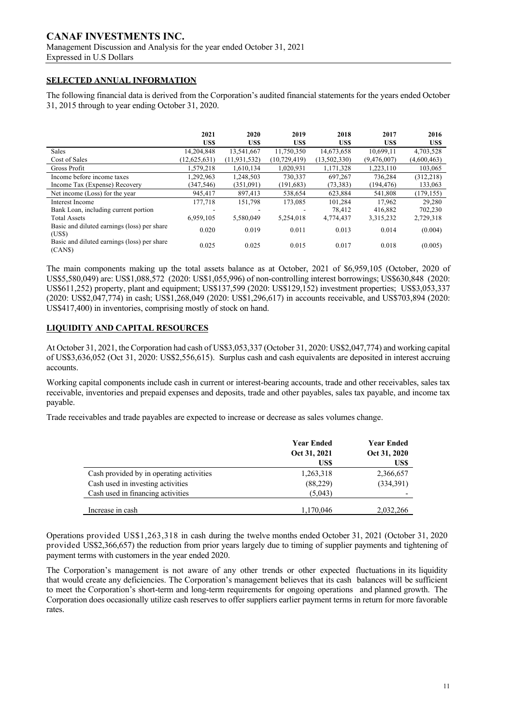# **CANAF INVESTMENTS INC.** Management Discussion and Analysis for the year ended October 31, 2021

Expressed in U.S Dollars

# **SELECTED ANNUAL INFORMATION**

The following financial data is derived from the Corporation's audited financial statements for the years ended October 31, 2015 through to year ending October 31, 2020.

|                                                       | 2021           | 2020           | 2019           | 2018         | 2017        | 2016        |
|-------------------------------------------------------|----------------|----------------|----------------|--------------|-------------|-------------|
|                                                       | US\$           | US\$           | US\$           | US\$         | US\$        | US\$        |
| Sales                                                 | 14.204.848     | 13.541.667     | 11.750.350     | 14,673,658   | 10.699.11   | 4,703,528   |
| Cost of Sales                                         | (12, 625, 631) | (11, 931, 532) | (10, 729, 419) | (13,502,330) | (9,476,007) | (4,600,463) |
| Gross Profit                                          | 1,579,218      | 1,610,134      | 1.020.931      | 1,171,328    | 1,223,110   | 103,065     |
| Income before income taxes                            | 1.292.963      | 1.248.503      | 730,337        | 697.267      | 736.284     | (312, 218)  |
| Income Tax (Expense) Recovery                         | (347, 546)     | (351,091)      | (191, 683)     | (73, 383)    | (194, 476)  | 133,063     |
| Net income (Loss) for the year                        | 945,417        | 897,413        | 538,654        | 623.884      | 541,808     | (179, 155)  |
| Interest Income                                       | 177.718        | 151.798        | 173,085        | 101.284      | 17.962      | 29,280      |
| Bank Loan, including current portion                  |                |                |                | 78,412       | 416,882     | 702,230     |
| <b>Total Assets</b>                                   | 6,959,105      | 5.580,049      | 5,254,018      | 4,774,437    | 3,315,232   | 2,729,318   |
| Basic and diluted earnings (loss) per share<br>(USS)  | 0.020          | 0.019          | 0.011          | 0.013        | 0.014       | (0.004)     |
| Basic and diluted earnings (loss) per share<br>(CANS) | 0.025          | 0.025          | 0.015          | 0.017        | 0.018       | (0.005)     |

The main components making up the total assets balance as at October, 2021 of \$6,959,105 (October, 2020 of US\$5,580,049) are: US\$1,088,572 (2020: US\$1,055,996) of non-controlling interest borrowings; US\$630,848 (2020: US\$611,252) property, plant and equipment; US\$137,599 (2020: US\$129,152) investment properties; US\$3,053,337 (2020: US\$2,047,774) in cash; US\$1,268,049 (2020: US\$1,296,617) in accounts receivable, and US\$703,894 (2020: US\$417,400) in inventories, comprising mostly of stock on hand.

# **LIQUIDITY AND CAPITAL RESOURCES**

At October 31, 2021, the Corporation had cash of US\$3,053,337 (October 31, 2020: US\$2,047,774) and working capital of US\$3,636,052 (Oct 31, 2020: US\$2,556,615). Surplus cash and cash equivalents are deposited in interest accruing accounts.

Working capital components include cash in current or interest-bearing accounts, trade and other receivables, sales tax receivable, inventories and prepaid expenses and deposits, trade and other payables, sales tax payable, and income tax payable.

Trade receivables and trade payables are expected to increase or decrease as sales volumes change.

|                                          | <b>Year Ended</b><br>Oct 31, 2021 | <b>Year Ended</b><br>Oct 31, 2020 |
|------------------------------------------|-----------------------------------|-----------------------------------|
|                                          | US\$                              | US\$                              |
| Cash provided by in operating activities | 1,263,318                         | 2,366,657                         |
| Cash used in investing activities        | (88, 229)                         | (334,391)                         |
| Cash used in financing activities        | (5,043)                           |                                   |
| Increase in cash                         | 1,170,046                         | 2,032,266                         |

Operations provided US\$1,263,318 in cash during the twelve months ended October 31, 2021 (October 31, 2020 provided US\$2,366,657) the reduction from prior years largely due to timing of supplier payments and tightening of payment terms with customers in the year ended 2020.

The Corporation's management is not aware of any other trends or other expected fluctuations in its liquidity that would create any deficiencies. The Corporation's management believes that its cash balances will be sufficient to meet the Corporation's short-term and long-term requirements for ongoing operations and planned growth. The Corporation does occasionally utilize cash reserves to offer suppliers earlier payment terms in return for more favorable rates.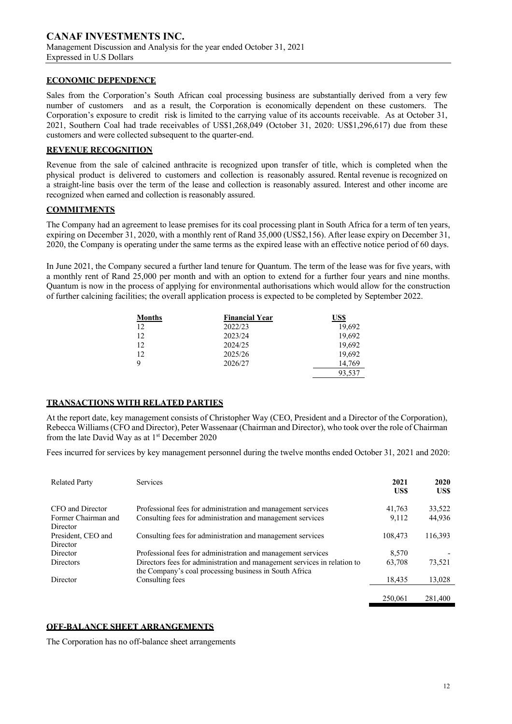#### **ECONOMIC DEPENDENCE**

Sales from the Corporation's South African coal processing business are substantially derived from a very few number of customers and as a result, the Corporation is economically dependent on these customers. The Corporation's exposure to credit risk is limited to the carrying value of its accounts receivable. As at October 31, 2021, Southern Coal had trade receivables of US\$1,268,049 (October 31, 2020: US\$1,296,617) due from these customers and were collected subsequent to the quarter-end.

#### **REVENUE RECOGNITION**

Revenue from the sale of calcined anthracite is recognized upon transfer of title, which is completed when the physical product is delivered to customers and collection is reasonably assured. Rental revenue is recognized on a straight-line basis over the term of the lease and collection is reasonably assured. Interest and other income are recognized when earned and collection is reasonably assured.

#### **COMMITMENTS**

The Company had an agreement to lease premises for its coal processing plant in South Africa for a term of ten years, expiring on December 31, 2020, with a monthly rent of Rand 35,000 (US\$2,156). After lease expiry on December 31, 2020, the Company is operating under the same terms as the expired lease with an effective notice period of 60 days.

In June 2021, the Company secured a further land tenure for Quantum. The term of the lease was for five years, with a monthly rent of Rand 25,000 per month and with an option to extend for a further four years and nine months. Quantum is now in the process of applying for environmental authorisations which would allow for the construction of further calcining facilities; the overall application process is expected to be completed by September 2022.

| Months | <b>Financial Year</b> | US\$   |
|--------|-----------------------|--------|
| 12     | 2022/23               | 19,692 |
| 12     | 2023/24               | 19,692 |
| 12     | 2024/25               | 19,692 |
| 12     | 2025/26               | 19,692 |
| 9      | 2026/27               | 14.769 |
|        |                       | 93,537 |

#### **TRANSACTIONS WITH RELATED PARTIES**

At the report date, key management consists of Christopher Way (CEO, President and a Director of the Corporation), Rebecca Williams (CFO and Director), Peter Wassenaar (Chairman and Director), who took over the role of Chairman from the late David Way as at 1st December 2020

Fees incurred for services by key management personnel during the twelve months ended October 31, 2021 and 2020:

| <b>Related Party</b>                       | <b>Services</b>                                                                                                                    | 2021<br>US\$ | 2020<br>US\$ |
|--------------------------------------------|------------------------------------------------------------------------------------------------------------------------------------|--------------|--------------|
| CFO and Director                           | Professional fees for administration and management services                                                                       | 41.763       | 33,522       |
| Former Chairman and                        | Consulting fees for administration and management services                                                                         | 9.112        | 44,936       |
| Director<br>President, CEO and<br>Director | Consulting fees for administration and management services                                                                         | 108,473      | 116,393      |
| Director                                   | Professional fees for administration and management services                                                                       | 8.570        |              |
| Directors                                  | Directors fees for administration and management services in relation to<br>the Company's coal processing business in South Africa | 63.708       | 73,521       |
| Director                                   | Consulting fees                                                                                                                    | 18,435       | 13,028       |
|                                            |                                                                                                                                    | 250,061      | 281,400      |

#### **OFF-BALANCE SHEET ARRANGEMENTS**

The Corporation has no off-balance sheet arrangements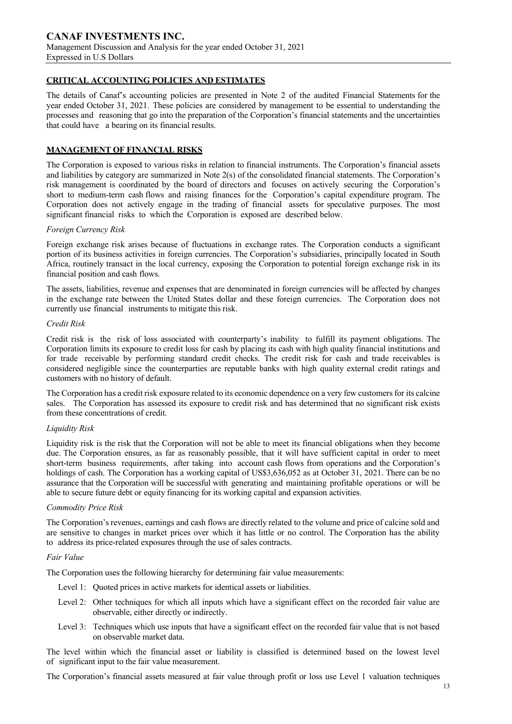#### **CRITICAL ACCOUNTING POLICIES AND ESTIMATES**

The details of Canaf's accounting policies are presented in Note 2 of the audited Financial Statements for the year ended October 31, 2021. These policies are considered by management to be essential to understanding the processes and reasoning that go into the preparation of the Corporation's financial statements and the uncertainties that could have a bearing on its financial results.

#### **MANAGEMENT OF FINANCIAL RISKS**

The Corporation is exposed to various risks in relation to financial instruments. The Corporation's financial assets and liabilities by category are summarized in Note 2(s) of the consolidated financial statements. The Corporation's risk management is coordinated by the board of directors and focuses on actively securing the Corporation's short to medium-term cash flows and raising finances for the Corporation's capital expenditure program. The Corporation does not actively engage in the trading of financial assets for speculative purposes. The most significant financial risks to which the Corporation is exposed are described below.

#### *Foreign Currency Risk*

Foreign exchange risk arises because of fluctuations in exchange rates. The Corporation conducts a significant portion of its business activities in foreign currencies. The Corporation's subsidiaries, principally located in South Africa, routinely transact in the local currency, exposing the Corporation to potential foreign exchange risk in its financial position and cash flows.

The assets, liabilities, revenue and expenses that are denominated in foreign currencies will be affected by changes in the exchange rate between the United States dollar and these foreign currencies. The Corporation does not currently use financial instruments to mitigate this risk.

#### *Credit Risk*

Credit risk is the risk of loss associated with counterparty's inability to fulfill its payment obligations. The Corporation limits its exposure to credit loss for cash by placing its cash with high quality financial institutions and for trade receivable by performing standard credit checks. The credit risk for cash and trade receivables is considered negligible since the counterparties are reputable banks with high quality external credit ratings and customers with no history of default.

The Corporation has a credit risk exposure related to its economic dependence on a very few customersfor its calcine sales. The Corporation has assessed its exposure to credit risk and has determined that no significant risk exists from these concentrations of credit.

#### *Liquidity Risk*

Liquidity risk is the risk that the Corporation will not be able to meet its financial obligations when they become due. The Corporation ensures, as far as reasonably possible, that it will have sufficient capital in order to meet short-term business requirements, after taking into account cash flows from operations and the Corporation's holdings of cash. The Corporation has a working capital of US\$3,636,052 as at October 31, 2021. There can be no assurance that the Corporation will be successful with generating and maintaining profitable operations or will be able to secure future debt or equity financing for its working capital and expansion activities.

#### *Commodity Price Risk*

The Corporation's revenues, earnings and cash flows are directly related to the volume and price of calcine sold and are sensitive to changes in market prices over which it has little or no control. The Corporation has the ability to address its price-related exposures through the use of sales contracts.

#### *Fair Value*

The Corporation uses the following hierarchy for determining fair value measurements:

- Level 1: Quoted prices in active markets for identical assets or liabilities.
- Level 2: Other techniques for which all inputs which have a significant effect on the recorded fair value are observable, either directly or indirectly.
- Level 3: Techniques which use inputs that have a significant effect on the recorded fair value that is not based on observable market data.

The level within which the financial asset or liability is classified is determined based on the lowest level of significant input to the fair value measurement.

The Corporation's financial assets measured at fair value through profit or loss use Level 1 valuation techniques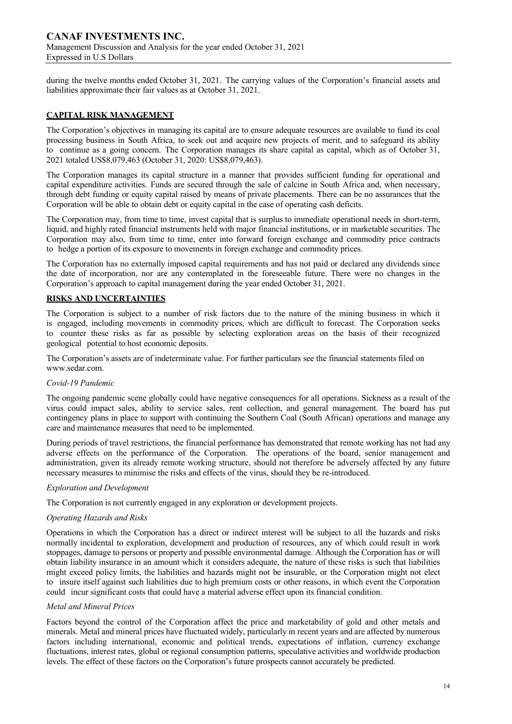during the twelve months ended October 31, 2021. The carrying values of the Corporation's financial assets and liabilities approximate their fair values as at October 31, 2021.

#### **CAPITAL RISK MANAGEMENT**

The Corporation's objectives in managing its capital are to ensure adequate resources are available to fund its coal processing business in South Africa, to seek out and acquire new projects of merit, and to safeguard its ability to continue as a going concern. The Corporation manages its share capital as capital, which as of October 31, 2021 totaled US\$8,079,463 (October 31, 2020: US\$8,079,463).

The Corporation manages its capital structure in a manner that provides sufficient funding for operational and capital expenditure activities. Funds are secured through the sale of calcine in South Africa and, when necessary, through debt funding or equity capital raised by means of private placements. There can be no assurances that the Corporation will be able to obtain debt or equity capital in the case of operating cash deficits.

The Corporation may, from time to time, invest capital that is surplus to immediate operational needs in short-term, liquid, and highly rated financial instruments held with major financial institutions, or in marketable securities. The Corporation may also, from time to time, enter into forward foreign exchange and commodity price contracts to hedge a portion of its exposure to movements in foreign exchange and commodity prices.

The Corporation has no externally imposed capital requirements and has not paid or declared any dividends since the date of incorporation, nor are any contemplated in the foreseeable future. There were no changes in the Corporation's approach to capital management during the year ended October 31, 2021.

#### **RISKS AND UNCERTAINTIES**

The Corporation is subject to a number of risk factors due to the nature of the mining business in which it is engaged, including movements in commodity prices, which are difficult to forecast. The Corporation seeks to counter these risks as far as possible by selecting exploration areas on the basis of their recognized geological potential to host economic deposits.

The Corporation's assets are of indeterminate value. For further particulars see the financial statements filed on www.sedar.com.

#### *Covid-19 Pandemic*

The ongoing pandemic scene globally could have negative consequences for all operations. Sickness as a result of the virus could impact sales, ability to service sales, rent collection, and general management. The board has put contingency plans in place to support with continuing the Southern Coal (South African) operations and manage any care and maintenance measures that need to be implemented.

During periods of travel restrictions, the financial performance has demonstrated that remote working has not had any adverse effects on the performance of the Corporation. The operations of the board, senior management and administration, given its already remote working structure, should not therefore be adversely affected by any future necessary measures to minimise the risks and effects of the virus, should they be re-introduced.

#### *Exploration and Development*

The Corporation is not currently engaged in any exploration or development projects.

#### *Operating Hazards and Risks*

Operations in which the Corporation has a direct or indirect interest will be subject to all the hazards and risks normally incidental to exploration, development and production of resources, any of which could result in work stoppages, damage to persons or property and possible environmental damage. Although the Corporation has or will obtain liability insurance in an amount which it considers adequate, the nature of these risks is such that liabilities might exceed policy limits, the liabilities and hazards might not be insurable, or the Corporation might not elect to insure itself against such liabilities due to high premium costs or other reasons, in which event the Corporation could incur significant costs that could have a material adverse effect upon its financial condition.

#### *Metal and Mineral Prices*

Factors beyond the control of the Corporation affect the price and marketability of gold and other metals and minerals. Metal and mineral prices have fluctuated widely, particularly in recent years and are affected by numerous factors including international, economic and political trends, expectations of inflation, currency exchange fluctuations, interest rates, global or regional consumption patterns, speculative activities and worldwide production levels. The effect of these factors on the Corporation's future prospects cannot accurately be predicted.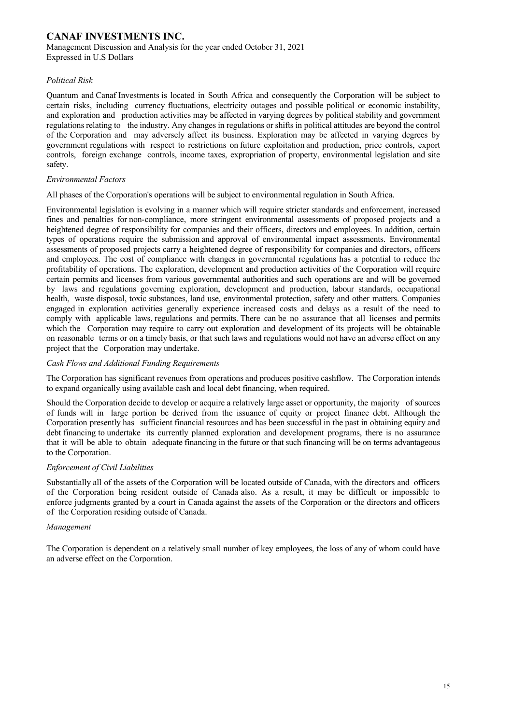#### *Political Risk*

Quantum and Canaf Investments is located in South Africa and consequently the Corporation will be subject to certain risks, including currency fluctuations, electricity outages and possible political or economic instability, and exploration and production activities may be affected in varying degrees by political stability and government regulations relating to the industry. Any changes in regulations or shifts in political attitudes are beyond the control of the Corporation and may adversely affect its business. Exploration may be affected in varying degrees by government regulations with respect to restrictions on future exploitation and production, price controls, export controls, foreign exchange controls, income taxes, expropriation of property, environmental legislation and site safety.

#### *Environmental Factors*

All phases of the Corporation's operations will be subject to environmental regulation in South Africa.

Environmental legislation is evolving in a manner which will require stricter standards and enforcement, increased fines and penalties for non-compliance, more stringent environmental assessments of proposed projects and a heightened degree of responsibility for companies and their officers, directors and employees. In addition, certain types of operations require the submission and approval of environmental impact assessments. Environmental assessments of proposed projects carry a heightened degree of responsibility for companies and directors, officers and employees. The cost of compliance with changes in governmental regulations has a potential to reduce the profitability of operations. The exploration, development and production activities of the Corporation will require certain permits and licenses from various governmental authorities and such operations are and will be governed by laws and regulations governing exploration, development and production, labour standards, occupational health, waste disposal, toxic substances, land use, environmental protection, safety and other matters. Companies engaged in exploration activities generally experience increased costs and delays as a result of the need to comply with applicable laws, regulations and permits. There can be no assurance that all licenses and permits which the Corporation may require to carry out exploration and development of its projects will be obtainable on reasonable terms or on a timely basis, or that such laws and regulations would not have an adverse effect on any project that the Corporation may undertake.

#### *Cash Flows and Additional Funding Requirements*

The Corporation has significant revenues from operations and produces positive cashflow. The Corporation intends to expand organically using available cash and local debt financing, when required.

Should the Corporation decide to develop or acquire a relatively large asset or opportunity, the majority of sources of funds will in large portion be derived from the issuance of equity or project finance debt. Although the Corporation presently has sufficient financial resources and has been successful in the past in obtaining equity and debt financing to undertake its currently planned exploration and development programs, there is no assurance that it will be able to obtain adequate financing in the future or that such financing will be on terms advantageous to the Corporation.

#### *Enforcement of Civil Liabilities*

Substantially all of the assets of the Corporation will be located outside of Canada, with the directors and officers of the Corporation being resident outside of Canada also. As a result, it may be difficult or impossible to enforce judgments granted by a court in Canada against the assets of the Corporation or the directors and officers of the Corporation residing outside of Canada.

#### *Management*

The Corporation is dependent on a relatively small number of key employees, the loss of any of whom could have an adverse effect on the Corporation.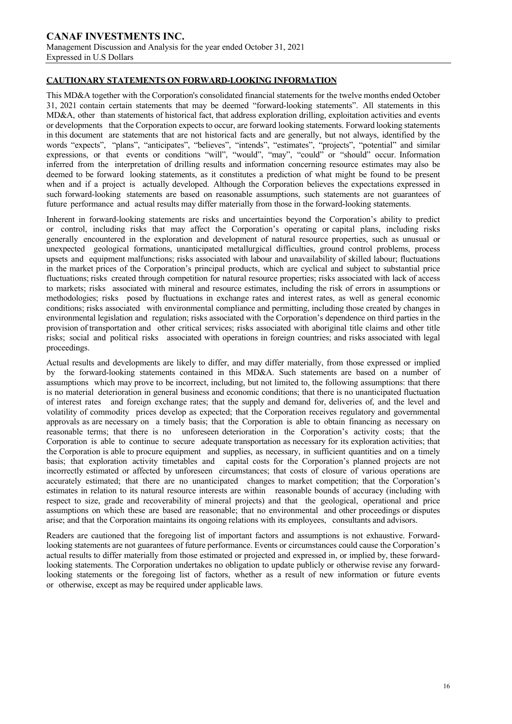#### **CAUTIONARY STATEMENTS ON FORWARD-LOOKING INFORMATION**

This MD&A together with the Corporation's consolidated financial statements for the twelve months ended October 31, 2021 contain certain statements that may be deemed "forward-looking statements". All statements in this MD&A, other than statements of historical fact, that address exploration drilling, exploitation activities and events or developments that the Corporation expects to occur, are forward looking statements. Forward looking statements in this document are statements that are not historical facts and are generally, but not always, identified by the words "expects", "plans", "anticipates", "believes", "intends", "estimates", "projects", "potential" and similar expressions, or that events or conditions "will", "would", "may", "could" or "should" occur. Information inferred from the interpretation of drilling results and information concerning resource estimates may also be deemed to be forward looking statements, as it constitutes a prediction of what might be found to be present when and if a project is actually developed. Although the Corporation believes the expectations expressed in such forward-looking statements are based on reasonable assumptions, such statements are not guarantees of future performance and actual results may differ materially from those in the forward-looking statements.

Inherent in forward-looking statements are risks and uncertainties beyond the Corporation's ability to predict or control, including risks that may affect the Corporation's operating or capital plans, including risks generally encountered in the exploration and development of natural resource properties, such as unusual or unexpected geological formations, unanticipated metallurgical difficulties, ground control problems, process upsets and equipment malfunctions; risks associated with labour and unavailability of skilled labour; fluctuations in the market prices of the Corporation's principal products, which are cyclical and subject to substantial price fluctuations; risks created through competition for natural resource properties; risks associated with lack of access to markets; risks associated with mineral and resource estimates, including the risk of errors in assumptions or methodologies; risks posed by fluctuations in exchange rates and interest rates, as well as general economic conditions; risks associated with environmental compliance and permitting, including those created by changes in environmental legislation and regulation; risks associated with the Corporation's dependence on third parties in the provision of transportation and other critical services; risks associated with aboriginal title claims and other title risks; social and political risks associated with operations in foreign countries; and risks associated with legal proceedings.

Actual results and developments are likely to differ, and may differ materially, from those expressed or implied by the forward-looking statements contained in this MD&A. Such statements are based on a number of assumptions which may prove to be incorrect, including, but not limited to, the following assumptions: that there is no material deterioration in general business and economic conditions; that there is no unanticipated fluctuation of interest rates and foreign exchange rates; that the supply and demand for, deliveries of, and the level and volatility of commodity prices develop as expected; that the Corporation receives regulatory and governmental approvals as are necessary on a timely basis; that the Corporation is able to obtain financing as necessary on reasonable terms; that there is no unforeseen deterioration in the Corporation's activity costs; that the Corporation is able to continue to secure adequate transportation as necessary for its exploration activities; that the Corporation is able to procure equipment and supplies, as necessary, in sufficient quantities and on a timely basis; that exploration activity timetables and capital costs for the Corporation's planned projects are not incorrectly estimated or affected by unforeseen circumstances; that costs of closure of various operations are accurately estimated; that there are no unanticipated changes to market competition; that the Corporation's estimates in relation to its natural resource interests are within reasonable bounds of accuracy (including with respect to size, grade and recoverability of mineral projects) and that the geological, operational and price assumptions on which these are based are reasonable; that no environmental and other proceedings or disputes arise; and that the Corporation maintains its ongoing relations with its employees, consultants and advisors.

Readers are cautioned that the foregoing list of important factors and assumptions is not exhaustive. Forwardlooking statements are not guarantees of future performance. Events or circumstances could cause the Corporation's actual results to differ materially from those estimated or projected and expressed in, or implied by, these forwardlooking statements. The Corporation undertakes no obligation to update publicly or otherwise revise any forwardlooking statements or the foregoing list of factors, whether as a result of new information or future events or otherwise, except as may be required under applicable laws.